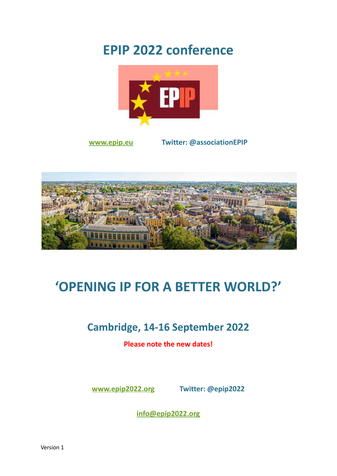## **EPIP 2022 conference**



**[www.epip.eu](https://www.epip.eu) Twitter: @associationEPIP**



# **'OPENING IP FOR A BETTER WORLD?'**

### **Cambridge, 14-16 September 2022**

**Please note the new dates!**

**[www.epip2022.org](http://www.epip2022.org) Twitter: @epip2022**

**[info@epip2022.org](mailto:info@epip2022.org)**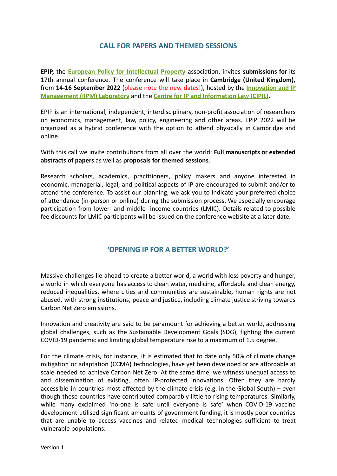#### **CALL FOR PAPERS AND THEMED SESSIONS**

**EPIP,** the **European Policy for [Intellectual](https://www.epip.eu) Property** association, invites **submissions for** its 17th annual conference. The conference will take place in **Cambridge (United Kingdom),** from **14-16 September 2022** (please note the new dates!), hosted by the **[Innovation](http://www.iipm.eng.cam.ac.uk/) and IP [Management \(IIPM\) Laboratory](http://www.iipm.eng.cam.ac.uk/)** and the **Centre for IP [and Information Law \(CIPIL\).](https://www.cipil.law.cam.ac.uk)**

EPIP is an international, independent, interdisciplinary, non-profit association of researchers on economics, management, law, policy, engineering and other areas. EPIP 2022 will be organized as a hybrid conference with the option to attend physically in Cambridge and online.

With this call we invite contributions from all over the world: **Full manuscripts or extended abstracts of papers** as well as **proposals for themed sessions**.

Research scholars, academics, practitioners, policy makers and anyone interested in economic, managerial, legal, and political aspects of IP are encouraged to submit and/or to attend the conference. To assist our planning, we ask you to indicate your preferred choice of attendance (in-person or online) during the submission process. We especially encourage participation from lower- and middle- income countries (LMIC). Details related to possible fee discounts for LMIC participants will be issued on the conference website at a later date.

#### **'OPENING IP FOR A BETTER WORLD?'**

Massive challenges lie ahead to create a better world, a world with less poverty and hunger, a world in which everyone has access to clean water, medicine, affordable and clean energy, reduced inequalities, where cities and communities are sustainable, human rights are not abused, with strong institutions, peace and justice, including climate justice striving towards Carbon Net Zero emissions.

Innovation and creativity are said to be paramount for achieving a better world, addressing global challenges, such as the Sustainable Development Goals (SDG), fighting the current COVID-19 pandemic and limiting global temperature rise to a maximum of 1.5 degree.

For the climate crisis, for instance, it is estimated that to date only 50% of climate change mitigation or adaptation (CCMA) technologies, have yet been developed or are affordable at scale needed to achieve Carbon Net Zero. At the same time, we witness unequal access to and dissemination of existing, often IP-protected innovations. Often they are hardly accessible in countries most affected by the climate crisis (e.g. in the Global South) – even though these countries have contributed comparably little to rising temperatures. Similarly, while many exclaimed 'no-one is safe until everyone is safe' when COVID-19 vaccine development utilised significant amounts of government funding, it is mostly poor countries that are unable to access vaccines and related medical technologies sufficient to treat vulnerable populations.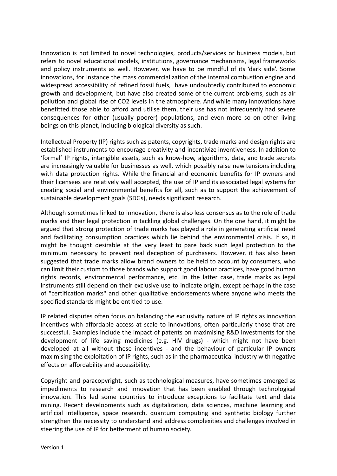Innovation is not limited to novel technologies, products/services or business models, but refers to novel educational models, institutions, governance mechanisms, legal frameworks and policy instruments as well. However, we have to be mindful of its 'dark side'. Some innovations, for instance the mass commercialization of the internal combustion engine and widespread accessibility of refined fossil fuels, have undoubtedly contributed to economic growth and development, but have also created some of the current problems, such as air pollution and global rise of CO2 levels in the atmosphere. And while many innovations have benefitted those able to afford and utilise them, their use has not infrequently had severe consequences for other (usually poorer) populations, and even more so on other living beings on this planet, including biological diversity as such.

Intellectual Property (IP) rights such as patents, copyrights, trade marks and design rights are established instruments to encourage creativity and incentivize inventiveness. In addition to 'formal' IP rights, intangible assets, such as know-how, algorithms, data, and trade secrets are increasingly valuable for businesses as well, which possibly raise new tensions including with data protection rights. While the financial and economic benefits for IP owners and their licensees are relatively well accepted, the use of IP and its associated legal systems for creating social and environmental benefits for all, such as to support the achievement of sustainable development goals (SDGs), needs significant research.

Although sometimes linked to innovation, there is also less consensus as to the role of trade marks and their legal protection in tackling global challenges. On the one hand, it might be argued that strong protection of trade marks has played a role in generating artificial need and facilitating consumption practices which lie behind the environmental crisis. If so, it might be thought desirable at the very least to pare back such legal protection to the minimum necessary to prevent real deception of purchasers. However, it has also been suggested that trade marks allow brand owners to be held to account by consumers, who can limit their custom to those brands who support good labour practices, have good human rights records, environmental performance, etc. In the latter case, trade marks as legal instruments still depend on their exclusive use to indicate origin, except perhaps in the case of "certification marks" and other qualitative endorsements where anyone who meets the specified standards might be entitled to use.

IP related disputes often focus on balancing the exclusivity nature of IP rights as innovation incentives with affordable access at scale to innovations, often particularly those that are successful. Examples include the impact of patents on maximising R&D investments for the development of life saving medicines (e.g. HIV drugs) - which might not have been developed at all without these incentives - and the behaviour of particular IP owners maximising the exploitation of IP rights, such as in the pharmaceutical industry with negative effects on affordability and accessibility.

Copyright and paracopyright, such as technological measures, have sometimes emerged as impediments to research and innovation that has been enabled through technological innovation. This led some countries to introduce exceptions to facilitate text and data mining. Recent developments such as digitalization, data sciences, machine learning and artificial intelligence, space research, quantum computing and synthetic biology further strengthen the necessity to understand and address complexities and challenges involved in steering the use of IP for betterment of human society.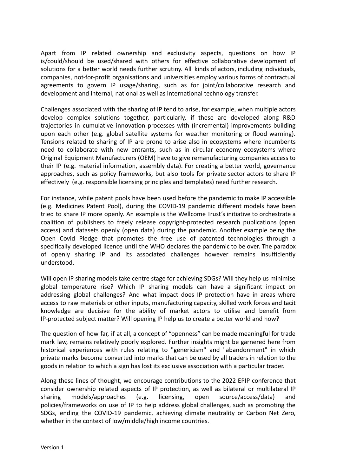Apart from IP related ownership and exclusivity aspects, questions on how IP is/could/should be used/shared with others for effective collaborative development of solutions for a better world needs further scrutiny. All kinds of actors, including individuals, companies, not-for-profit organisations and universities employ various forms of contractual agreements to govern IP usage/sharing, such as for joint/collaborative research and development and internal, national as well as international technology transfer.

Challenges associated with the sharing of IP tend to arise, for example, when multiple actors develop complex solutions together, particularly, if these are developed along R&D trajectories in cumulative innovation processes with (incremental) improvements building upon each other (e.g. global satellite systems for weather monitoring or flood warning). Tensions related to sharing of IP are prone to arise also in ecosystems where incumbents need to collaborate with new entrants, such as in circular economy ecosystems where Original Equipment Manufacturers (OEM) have to give remanufacturing companies access to their IP (e.g. material information, assembly data). For creating a better world, governance approaches, such as policy frameworks, but also tools for private sector actors to share IP effectively (e.g. responsible licensing principles and templates) need further research.

For instance, while patent pools have been used before the pandemic to make IP accessible (e.g. Medicines Patent Pool), during the COVID-19 pandemic different models have been tried to share IP more openly. An example is the Wellcome Trust's initiative to orchestrate a coalition of publishers to freely release copyright-protected research publications (open access) and datasets openly (open data) during the pandemic. Another example being the Open Covid Pledge that promotes the free use of patented technologies through a specifically developed licence until the WHO declares the pandemic to be over. The paradox of openly sharing IP and its associated challenges however remains insufficiently understood.

Will open IP sharing models take centre stage for achieving SDGs? Will they help us minimise global temperature rise? Which IP sharing models can have a significant impact on addressing global challenges? And what impact does IP protection have in areas where access to raw materials or other inputs, manufacturing capacity, skilled work forces and tacit knowledge are decisive for the ability of market actors to utilise and benefit from IP-protected subject matter? Will opening IP help us to create a better world and how?

The question of how far, if at all, a concept of "openness" can be made meaningful for trade mark law, remains relatively poorly explored. Further insights might be garnered here from historical experiences with rules relating to "genericism" and "abandonment" in which private marks become converted into marks that can be used by all traders in relation to the goods in relation to which a sign has lost its exclusive association with a particular trader.

Along these lines of thought, we encourage contributions to the 2022 EPIP conference that consider ownership related aspects of IP protection, as well as bilateral or multilateral IP sharing models/approaches (e.g. licensing, open source/access/data) and policies/frameworks on use of IP to help address global challenges, such as promoting the SDGs, ending the COVID-19 pandemic, achieving climate neutrality or Carbon Net Zero, whether in the context of low/middle/high income countries.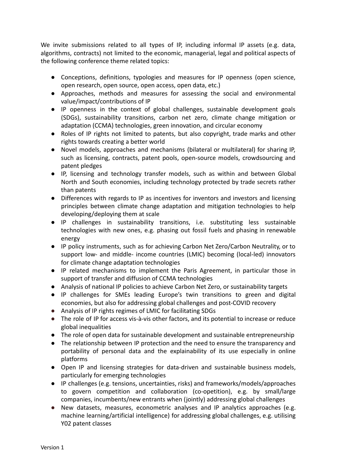We invite submissions related to all types of IP, including informal IP assets (e.g. data, algorithms, contracts) not limited to the economic, managerial, legal and political aspects of the following conference theme related topics:

- Conceptions, definitions, typologies and measures for IP openness (open science, open research, open source, open access, open data, etc.)
- Approaches, methods and measures for assessing the social and environmental value/impact/contributions of IP
- IP openness in the context of global challenges, sustainable development goals (SDGs), sustainability transitions, carbon net zero, climate change mitigation or adaptation (CCMA) technologies, green innovation, and circular economy
- Roles of IP rights not limited to patents, but also copyright, trade marks and other rights towards creating a better world
- Novel models, approaches and mechanisms (bilateral or multilateral) for sharing IP, such as licensing, contracts, patent pools, open-source models, crowdsourcing and patent pledges
- IP, licensing and technology transfer models, such as within and between Global North and South economies, including technology protected by trade secrets rather than patents
- Differences with regards to IP as incentives for inventors and investors and licensing principles between climate change adaptation and mitigation technologies to help developing/deploying them at scale
- IP challenges in sustainability transitions, i.e. substituting less sustainable technologies with new ones, e.g. phasing out fossil fuels and phasing in renewable energy
- IP policy instruments, such as for achieving Carbon Net Zero/Carbon Neutrality, or to support low- and middle- income countries (LMIC) becoming (local-led) innovators for climate change adaptation technologies
- IP related mechanisms to implement the Paris Agreement, in particular those in support of transfer and diffusion of CCMA technologies
- Analysis of national IP policies to achieve Carbon Net Zero, or sustainability targets
- IP challenges for SMEs leading Europe's twin transitions to green and digital economies, but also for addressing global challenges and post-COVID recovery
- Analysis of IP rights regimes of LMIC for facilitating SDGs
- The role of IP for access vis-à-vis other factors, and its potential to increase or reduce global inequalities
- The role of open data for sustainable development and sustainable entrepreneurship
- The relationship between IP protection and the need to ensure the transparency and portability of personal data and the explainability of its use especially in online platforms
- Open IP and licensing strategies for data-driven and sustainable business models, particularly for emerging technologies
- IP challenges (e.g. tensions, uncertainties, risks) and frameworks/models/approaches to govern competition and collaboration (co-opetition), e.g. by small/large companies, incumbents/new entrants when (jointly) addressing global challenges
- New datasets, measures, econometric analyses and IP analytics approaches (e.g. machine learning/artificial intelligence) for addressing global challenges, e.g. utilising Y02 patent classes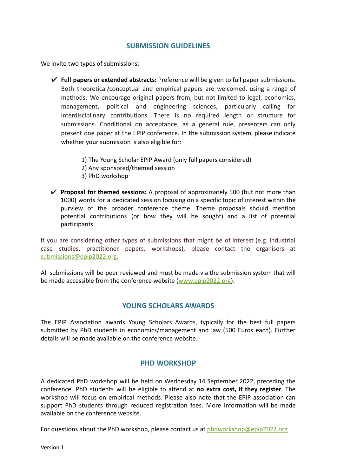#### **SUBMISSION GUIDELINES**

We invite two types of submissions:

- ✔ **Full papers or extended abstracts:** Preference will be given to full paper submissions. Both theoretical/conceptual and empirical papers are welcomed, using a range of methods. We encourage original papers from, but not limited to legal, economics, management, political and engineering sciences, particularly calling for interdisciplinary contributions. There is no required length or structure for submissions. Conditional on acceptance, as a general rule, presenters can only present one paper at the EPIP conference. In the submission system, please indicate whether your submission is also eligible for:
	- 1) The Young Scholar EPIP Award (only full papers considered)
	- 2) Any sponsored/themed session
	- 3) PhD workshop
- ✔ **Proposal for themed sessions:** A proposal of approximately 500 (but not more than 1000) words for a dedicated session focusing on a specific topic of interest within the purview of the broader conference theme. Theme proposals should mention potential contributions (or how they will be sought) and a list of potential participants.

If you are considering other types of submissions that might be of interest (e.g. industrial case studies, practitioner papers, workshops), please contact the organisers at [submissions@epip2022.org.](mailto:submissions@epip2022.org)

All submissions will be peer reviewed and must be made via the submission system that will be made accessible from the conference website ([www.epip2022.org](http://www.epip2022.org)).

#### **YOUNG SCHOLARS AWARDS**

The EPIP Association awards Young Scholars Awards, typically for the best full papers submitted by PhD students in economics/management and law (500 Euros each). Further details will be made available on the conference website.

#### **PHD WORKSHOP**

A dedicated PhD workshop will be held on Wednesday 14 September 2022, preceding the conference. PhD students will be eligible to attend at **no extra cost, if they register**. The workshop will focus on empirical methods. Please also note that the EPIP association can support PhD students through reduced registration fees. More information will be made available on the conference website.

For questions about the PhD workshop, please contact us at [phdworkshop@epip2022.org](mailto:phdworkshop@epip2022.org)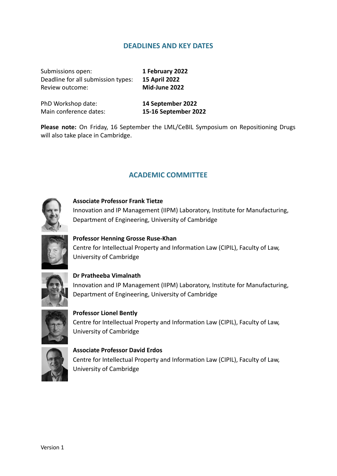#### **DEADLINES AND KEY DATES**

Submissions open: **1 February 2022** Deadline for all submission types: **15 April 2022** Review outcome: **Mid-June 2022**

PhD Workshop date: **14 September 2022** Main conference dates: **15-16 September 2022**

**Please note:** On Friday, 16 September the LML/CeBIL Symposium on Repositioning Drugs will also take place in Cambridge.

#### **ACADEMIC COMMITTEE**



#### **Associate Professor Frank Tietze**

Innovation and IP Management (IIPM) Laboratory, Institute for Manufacturing, Department of Engineering, University of Cambridge



#### **Professor Henning Grosse Ruse-Khan**

Centre for Intellectual Property and Information Law (CIPIL), Faculty of Law, University of Cambridge



#### **Dr Pratheeba Vimalnath** Innovation and IP Management (IIPM) Laboratory, Institute for Manufacturing, Department of Engineering, University of Cambridge



### **Professor Lionel Bently** Centre for Intellectual Property and Information Law (CIPIL), Faculty of Law, University of Cambridge



**Associate Professor David Erdos** Centre for Intellectual Property and Information Law (CIPIL), Faculty of Law, University of Cambridge